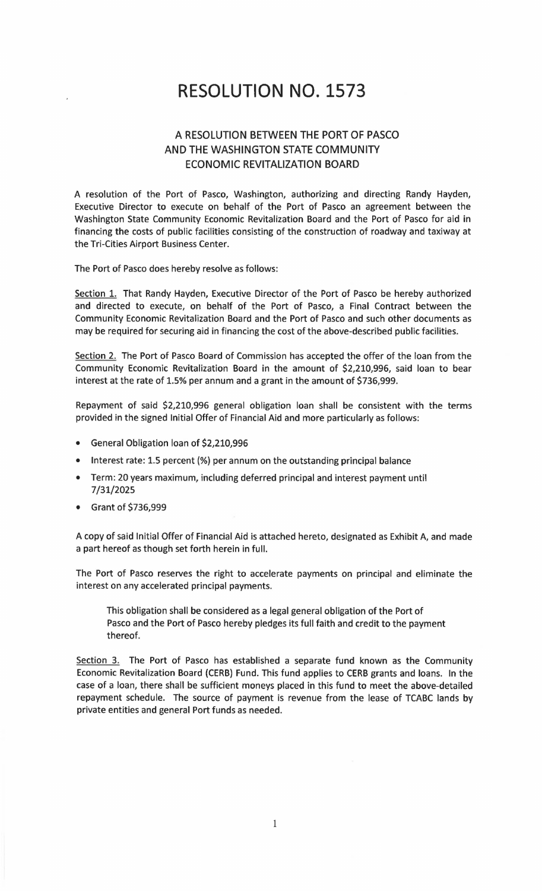# **RESOLUTION NO. 1573**

## A RESOLUTION BETWEEN THE PORT OF PASCO AND THE WASHINGTON STATE COMMUNITY ECONOMIC REVITALIZATION BOARD

A resolution of the Port of Pasco, Washington, authorizing and directing Randy Hayden, Executive Director to execute on behalf of the Port of Pasco an agreement between the Washington State Community Economic Revitalization Board and the Port of Pasco for aid in financing the costs of public facilities consisting of the construction of roadway and taxiway at the Tri-Cities Airport Business Center.

The Port of Pasco does hereby resolve as follows:

Section 1. That Randy Hayden, Executive Director of the Port of Pasco be hereby authorized and directed to execute, on behalf of the Port of Pasco, a Final Contract between the Community Economic Revitalization Board and the Port of Pasco and such other documents as may be required for securing aid in financing the cost of the above-described public facilities.

Section 2. The Port of Pasco Board of Commission has accepted the offer of the loan from the Community Economic Revitalization Board in the amount of \$2,210,996, said loan to bear interest at the rate of 1.5% per annum and a grant in the amount of \$736,999.

Repayment of said \$2,210,996 general obligation loan shall be consistent with the terms provided in the signed Initial Offer of Financial Aid and more particularly as follows:

- General Obligation loan of \$2,210,996
- Interest rate: 1.5 percent(%) per annum on the outstanding principal balance
- Term: 20 years maximum, including deferred principal and interest payment until 7/31/2025
- Grant of \$736,999

A copy of said Initial Offer of Financial Aid is attached hereto, designated as Exhibit A, and made a part hereof as though set forth herein in full.

The Port of Pasco reserves the right to accelerate payments on principal and eliminate the interest on any accelerated principal payments.

This obligation shall be considered as a legal general obligation of the Port of Pasco and the Port of Pasco hereby pledges its full faith and credit to the payment thereof.

Section 3. The Port of Pasco has established a separate fund known as the Community Economic Revitalization Board (CERB) Fund. This fund applies to CERB grants and loans. In the case of a loan, there shall be sufficient moneys placed in this fund to meet the above-detailed repayment schedule. The source of payment is revenue from the lease of TCABC lands by private entities and general Port funds as needed.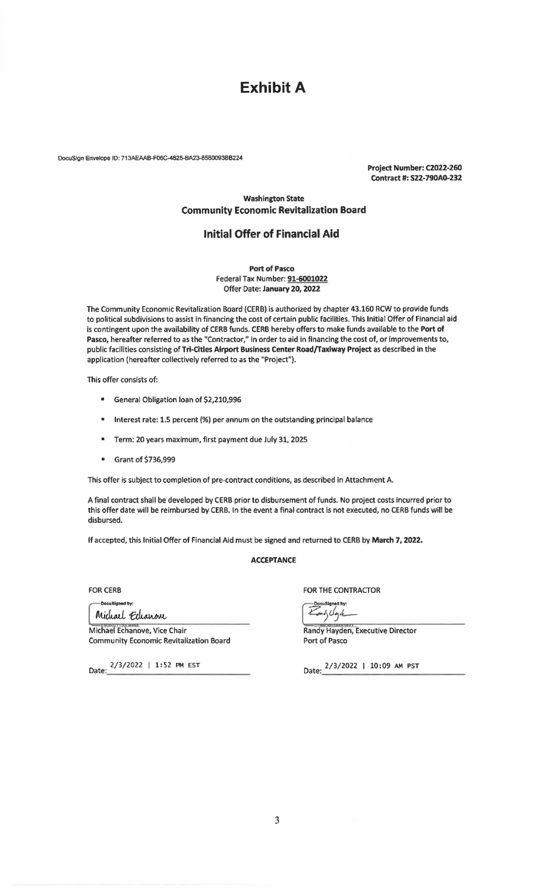## **Exhibit A**

DocuSlgn Envelope 10: 713AEAAB-F06C-4825-BA23-8580093BB224

Project Number: C2022-260 Contract#: S22-790A0-232

#### Washington State Community Economic Revitalization Board

### Initial Offer of Financial Aid

Port of Pasco Federal Tax Number: 91-6001022 Offer Date: January 20, 2022

The Community Economic Revitalization Board (CERB) is authorized by chapter 43.160 RCW to provide funds to political subdivisions to assist in financing the cost of certain public facilities. This Initial Offer of Financial aid is contingent upon the availability of CERB funds. CERB hereby offers to make funds available to the Port of Pasco, hereafter referred to as the "Contractor," in order to aid in financing the cost of, or improvements to, public facilities consisting of Tri-Cities Airport Business Center Road/Taxiway Project as described in the application (hereafter collectively referred to as the "Project").

This offer consists of:

- General Obligation loan of \$2,210,996
- Interest rate: 1.5 percent(%) per annum on the outstanding principal balance
- Term: 20 years maximum, first payment due July 31, 2025
- Grant of \$736,999

This offer is subject to completion of pre-contract conditions, as described in Attachment A.

A final contract shall be developed by CERB prior to disbursement of funds. No project costs incurred prior to this offer date will be reimbursed by CERB. In the event a final contract Is not executed, no CERB funds will be disbursed.

If accepted, this Initial Offer of Financial Aid must be signed and returned to CERB by March 7, 2022.

#### **ACCEPTANCE**

FOR CERB

Docu8igned by: Michael Echanove

Michael Echanove, Vice Chair Community Economic Revitalization Board

Date:  $2/3/2022$  | 1:52 PM EST

FOR THE CONTRACTOR

and light

Randy Hayden, Executive Director Port of Pasco

Date:  $\frac{2/3/2022 + 10:09 \text{ AM } \text{PST}}{2}$